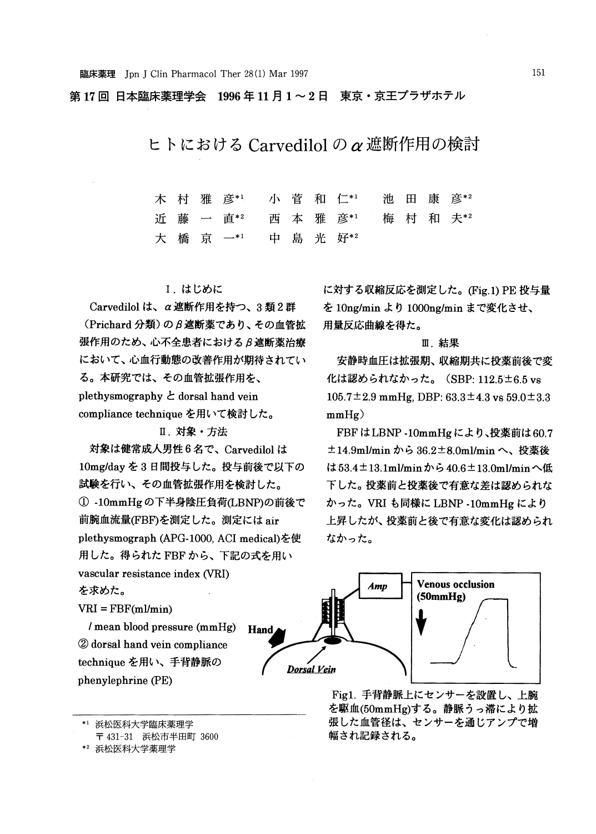第17回 日本臨床薬理学会 1996年11月1~2日 東京・京王プラザホテル

ヒトにおける Carvedilol のα遮断作用の検討

木村 雅 彦\*1 小 菅 和 仁\*1 池 田 康 彦\*2 近 藤 直\*2 西 本 雅 彦\*' 梅 村 村 和 夫\*2 橋 一\*1 好\*2 大 京

## 1. はじめに

Carvedilol は、α遮断作用を持つ、3類2群 (Prichard 分類)のβ遮断薬であり、その血管拡 張作用のため、心不全患者におけるβ遮断薬治療 において、心血行動態の改善作用が期待されてい る。本研究では、その血管拡張作用を、 plethysmographyとdorsal hand vein compliance technique を用いて検討した。

II. 対象·方法

対象は健常成人男性6名で、Carvedilol は 10mg/day を3日間投与した。投与前後で以下の 試験を行い、その血管拡張作用を検討した。 ① -10mmHgの下半身陰圧負荷(LBNP)の前後で 前腕血流量(FBF)を測定した。測定には air plethysmograph (APG-1000, ACI medical)を使 用した。得られた FBF から、下記の式を用い vascular resistance index (VRI) を求めた。

に対する収縮反応を測定した。(Fig.1) PE 投与量 を 10ng/min より 1000ng/min まで変化させ、 用量反応曲線を得た。 III.結

安静時血圧は拡張期、収縮期共に投薬前後で変 化は認められなかった。(SBP: 112.5±6.5 vs  $105.7 \pm 2.9$  mmHg, DBP:  $63.3 \pm 4.3$  vs  $59.0 \pm 3.3$ mmHg)

FBFはLBNP-10mmHgにより、投薬前は60.7 ±14.9ml/min から 36.2±8.0ml/minへ、投薬後 は53.4±13.1ml/minから40.6±13.0ml/minへ低 下した。投薬前と投薬後で有意な差は認められな かった。VRI も同様に LBNP -10mmHg により 上昇したが、投薬前と後で有意な変化は認められ なかった。



Fig1. 手背静脈上にセンサーを設置し、上腕 を駆血(50mmHg)する。静脈うっ滞により拡 張した血管径は、センサーを通じアンプで増 幅され記録される。



<sup>〒 431-31</sup> 浜松市半田町 3600

/mean blood pressure (mmHg) (2) dorsal hand vein compliance technique を用い、手背静脈の

 $VRI = FBF(ml/min)$ 

phenylephrine(PE)

<sup>\*2</sup> 浜松医科大学薬理学